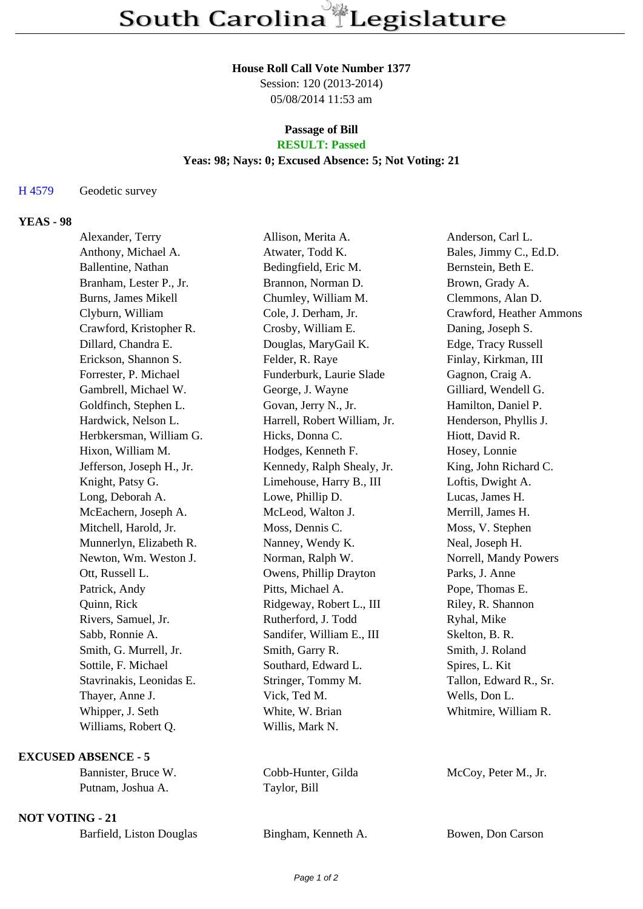#### **House Roll Call Vote Number 1377**

Session: 120 (2013-2014) 05/08/2014 11:53 am

### **Passage of Bill RESULT: Passed**

# **Yeas: 98; Nays: 0; Excused Absence: 5; Not Voting: 21**

## H 4579 Geodetic survey

# **YEAS - 98**

| Alexander, Terry          | Allison, Merita A.           | Anderson, Carl L.        |
|---------------------------|------------------------------|--------------------------|
| Anthony, Michael A.       | Atwater, Todd K.             | Bales, Jimmy C., Ed.D.   |
| Ballentine, Nathan        | Bedingfield, Eric M.         | Bernstein, Beth E.       |
| Branham, Lester P., Jr.   | Brannon, Norman D.           | Brown, Grady A.          |
| Burns, James Mikell       | Chumley, William M.          | Clemmons, Alan D.        |
| Clyburn, William          | Cole, J. Derham, Jr.         | Crawford, Heather Ammons |
| Crawford, Kristopher R.   | Crosby, William E.           | Daning, Joseph S.        |
| Dillard, Chandra E.       | Douglas, MaryGail K.         | Edge, Tracy Russell      |
| Erickson, Shannon S.      | Felder, R. Raye              | Finlay, Kirkman, III     |
| Forrester, P. Michael     | Funderburk, Laurie Slade     | Gagnon, Craig A.         |
| Gambrell, Michael W.      | George, J. Wayne             | Gilliard, Wendell G.     |
| Goldfinch, Stephen L.     | Govan, Jerry N., Jr.         | Hamilton, Daniel P.      |
| Hardwick, Nelson L.       | Harrell, Robert William, Jr. | Henderson, Phyllis J.    |
| Herbkersman, William G.   | Hicks, Donna C.              | Hiott, David R.          |
| Hixon, William M.         | Hodges, Kenneth F.           | Hosey, Lonnie            |
| Jefferson, Joseph H., Jr. | Kennedy, Ralph Shealy, Jr.   | King, John Richard C.    |
| Knight, Patsy G.          | Limehouse, Harry B., III     | Loftis, Dwight A.        |
| Long, Deborah A.          | Lowe, Phillip D.             | Lucas, James H.          |
| McEachern, Joseph A.      | McLeod, Walton J.            | Merrill, James H.        |
| Mitchell, Harold, Jr.     | Moss, Dennis C.              | Moss, V. Stephen         |
| Munnerlyn, Elizabeth R.   | Nanney, Wendy K.             | Neal, Joseph H.          |
| Newton, Wm. Weston J.     | Norman, Ralph W.             | Norrell, Mandy Powers    |
| Ott, Russell L.           | Owens, Phillip Drayton       | Parks, J. Anne           |
| Patrick, Andy             | Pitts, Michael A.            | Pope, Thomas E.          |
| Quinn, Rick               | Ridgeway, Robert L., III     | Riley, R. Shannon        |
| Rivers, Samuel, Jr.       | Rutherford, J. Todd          | Ryhal, Mike              |
| Sabb, Ronnie A.           | Sandifer, William E., III    | Skelton, B. R.           |
| Smith, G. Murrell, Jr.    | Smith, Garry R.              | Smith, J. Roland         |
| Sottile, F. Michael       | Southard, Edward L.          | Spires, L. Kit           |
| Stavrinakis, Leonidas E.  | Stringer, Tommy M.           | Tallon, Edward R., Sr.   |
| Thayer, Anne J.           | Vick, Ted M.                 | Wells, Don L.            |
| Whipper, J. Seth          | White, W. Brian              | Whitmire, William R.     |
| Williams, Robert Q.       | Willis, Mark N.              |                          |
|                           |                              |                          |
|                           |                              |                          |

Taylor, Bill

Page 1 of 2

# **EXCUSED ABSENCE - 5**

| Bannister, Bruce W. |
|---------------------|
| Putnam, Joshua A.   |

# **NOT VOTING - 21**

| Barfield, Liston Douglas | Bingham, Kenneth A. | Bowen, Don Carson |
|--------------------------|---------------------|-------------------|
|--------------------------|---------------------|-------------------|

Cobb-Hunter, Gilda McCoy, Peter M., Jr.